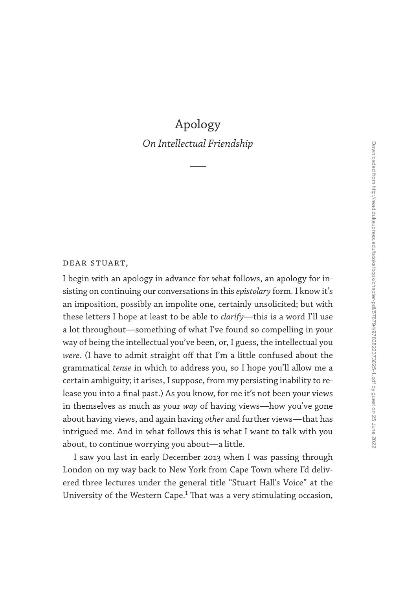# Apology *[On Intellectual Friendship](#page--1-0)*

### DEAR STUART,

I begin with an apology in advance for what follows, an apology for insisting on continuing our conversations in this *epistolary* form. I know it's an imposition, possibly an impolite one, certainly unsolicited; but with these letters I hope at least to be able to *clarify*—this is a word I'll use a lot throughout—something of what I've found so compelling in your way of being the intellectual you've been, or, I guess, the intellectual you *were*. (I have to admit straight off that I'm a little confused about the grammatical *tense* in which to address you, so I hope you'll allow me a certain ambiguity; it arises, I suppose, from my persisting inability to release you into a final past.) As you know, for me it's not been your views in themselves as much as your *way* of having views—how you've gone about having views, and again having *other* and further views—that has intrigued me. And in what follows this is what I want to talk with you about, to continue worrying you about—a little.

I saw you last in early December 2013 when I was passing through London on my way back to New York from Cape Town where I'd delivered three lectures under the general title "Stuart Hall's Voice" at the University of the Western Cape.<sup>[1](#page--1-0)</sup> That was a very stimulating occasion,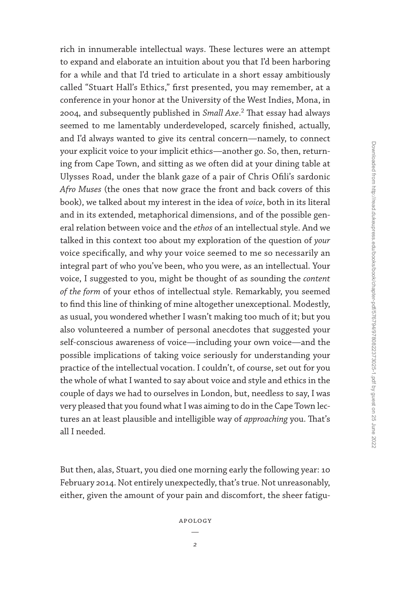rich in innumerable intellectual ways. These lectures were an attempt to expand and elaborate an intuition about you that I'd been harboring for a while and that I'd tried to articulate in a short essay ambitiously called "Stuart Hall's Ethics," first presented, you may remember, at a conference in your honor at the University of the West Indies, Mona, in 2004, and subsequently published in *Small Axe*. [2](#page--1-0) That essay had always seemed to me lamentably underdeveloped, scarcely finished, actually, and I'd always wanted to give its central concern—namely, to connect your explicit voice to your implicit ethics—another go. So, then, returning from Cape Town, and sitting as we often did at your dining table at Ulysses Road, under the blank gaze of a pair of Chris Ofili's sardonic *Afro Muses* (the ones that now grace the front and back covers of this book), we talked about my interest in the idea of *voice*, both in its literal and in its extended, metaphorical dimensions, and of the possible general relation between voice and the *ethos* of an intellectual style. And we talked in this context too about my exploration of the question of *your* voice specifically, and why your voice seemed to me so necessarily an integral part of who you've been, who you were, as an intellectual. Your voice, I suggested to you, might be thought of as sounding the *content of the form* of your ethos of intellectual style. Remarkably, you seemed to find this line of thinking of mine altogether unexceptional. Modestly, as usual, you wondered whether I wasn't making too much of it; but you also volunteered a number of personal anecdotes that suggested your self-conscious awareness of voice—including your own voice—and the possible implications of taking voice seriously for understanding your practice of the intellectual vocation. I couldn't, of course, set out for you the whole of what I wanted to say about voice and style and ethics in the couple of days we had to ourselves in London, but, needless to say, I was very pleased that you found what I was aiming to do in the Cape Town lectures an at least plausible and intelligible way of *approaching* you. That's all I needed.

But then, alas, Stuart, you died one morning early the following year: 10 February 2014. Not entirely unexpectedly, that's true. Not unreasonably, either, given the amount of your pain and discomfort, the sheer fatigu-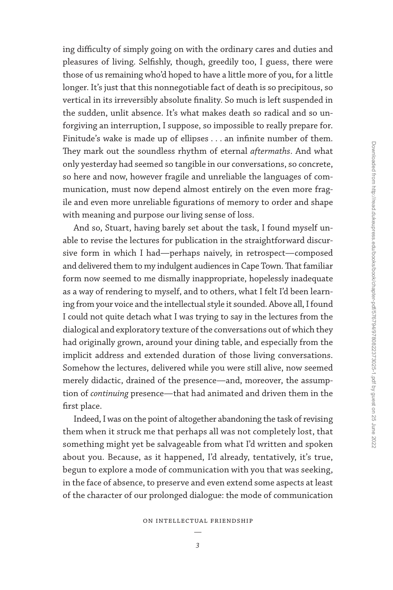ing difficulty of simply going on with the ordinary cares and duties and pleasures of living. Selfishly, though, greedily too, I guess, there were those of us remaining who'd hoped to have a little more of you, for a little longer. It's just that this nonnegotiable fact of death is so precipitous, so vertical in its irreversibly absolute finality. So much is left suspended in the sudden, unlit absence. It's what makes death so radical and so unforgiving an interruption, I suppose, so impossible to really prepare for. Finitude's wake is made up of ellipses . . . an infinite number of them. They mark out the soundless rhythm of eternal *aftermaths*. And what only yesterday had seemed so tangible in our conversations, so concrete, so here and now, however fragile and unreliable the languages of communication, must now depend almost entirely on the even more fragile and even more unreliable figurations of memory to order and shape with meaning and purpose our living sense of loss.

And so, Stuart, having barely set about the task, I found myself unable to revise the lectures for publication in the straightforward discursive form in which I had—perhaps naively, in retrospect—composed and delivered them to my indulgent audiences in Cape Town. That familiar form now seemed to me dismally inappropriate, hopelessly inadequate as a way of rendering to myself, and to others, what I felt I'd been learning from your voice and the intellectual style it sounded. Above all, I found I could not quite detach what I was trying to say in the lectures from the dialogical and exploratory texture of the conversations out of which they had originally grown, around your dining table, and especially from the implicit address and extended duration of those living conversations. Somehow the lectures, delivered while you were still alive, now seemed merely didactic, drained of the presence—and, moreover, the assumption of *continuing* presence—that had animated and driven them in the first place.

Indeed, I was on the point of altogether abandoning the task of revising them when it struck me that perhaps all was not completely lost, that something might yet be salvageable from what I'd written and spoken about you. Because, as it happened, I'd already, tentatively, it's true, begun to explore a mode of communication with you that was seeking, in the face of absence, to preserve and even extend some aspects at least of the character of our prolonged dialogue: the mode of communication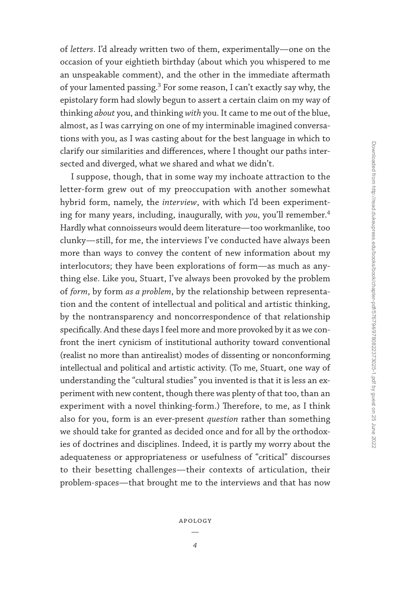of *letters*. I'd already written two of them, experimentally—one on the occasion of your eightieth birthday (about which you whispered to me an unspeakable comment), and the other in the immediate aftermath of your lamented passing[.3](#page--1-0) For some reason, I can't exactly say why, the epistolary form had slowly begun to assert a certain claim on my way of thinking *about* you, and thinking *with* you. It came to me out of the blue, almost, as I was carrying on one of my interminable imagined conversations with you, as I was casting about for the best language in which to clarify our similarities and differences, where I thought our paths intersected and diverged, what we shared and what we didn't.

I suppose, though, that in some way my inchoate attraction to the letter-form grew out of my preoccupation with another somewhat hybrid form, namely, the *interview*, with which I'd been experimenting for many years, including, inaugurally, with *you*, you'll remember[.4](#page--1-0) Hardly what connoisseurs would deem literature—too workmanlike, too clunky—still, for me, the interviews I've conducted have always been more than ways to convey the content of new information about my interlocutors; they have been explorations of form—as much as anything else. Like you, Stuart, I've always been provoked by the problem of *form*, by form *as a problem*, by the relationship between representation and the content of intellectual and political and artistic thinking, by the nontransparency and noncorrespondence of that relationship specifically. And these days I feel more and more provoked by it as we confront the inert cynicism of institutional authority toward conventional (realist no more than antirealist) modes of dissenting or nonconforming intellectual and political and artistic activity. (To me, Stuart, one way of understanding the "cultural studies" you invented is that it is less an experiment with new content, though there was plenty of that too, than an experiment with a novel thinking-form.) Therefore, to me, as I think also for you, form is an ever-present *question* rather than something we should take for granted as decided once and for all by the orthodoxies of doctrines and disciplines. Indeed, it is partly my worry about the adequateness or appropriateness or usefulness of "critical" discourses to their besetting challenges—their contexts of articulation, their problem-spaces—that brought me to the interviews and that has now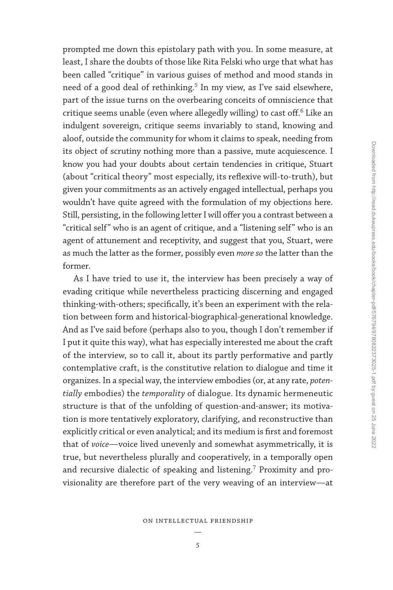prompted me down this epistolary path with you. In some measure, at least, I share the doubts of those like Rita Felski who urge that what has been called "critique" in various guises of method and mood stands in need of a good deal of rethinking.<sup>[5](#page--1-0)</sup> In my view, as I've said elsewhere, part of the issue turns on the overbearing conceits of omniscience that critique seems unable (even where allegedly willing) to cast off. $6$  Like an indulgent sovereign, critique seems invariably to stand, knowing and aloof, outside the community for whom it claims to speak, needing from its object of scrutiny nothing more than a passive, mute acquiescence. I know you had your doubts about certain tendencies in critique, Stuart (about "critical theory" most especially, its reflexive will-to-truth), but given your commitments as an actively engaged intellectual, perhaps you wouldn't have quite agreed with the formulation of my objections here. Still, persisting, in the following letter I will offer you a contrast between a "critical self" who is an agent of critique, and a "listening self" who is an agent of attunement and receptivity, and suggest that you, Stuart, were as much the latter as the former, possibly even *more so* the latter than the former.

As I have tried to use it, the interview has been precisely a way of evading critique while nevertheless practicing discerning and engaged thinking-with-others; specifically, it's been an experiment with the relation between form and historical-biographical-generational knowledge. And as I've said before (perhaps also to you, though I don't remember if I put it quite this way), what has especially interested me about the craft of the interview, so to call it, about its partly performative and partly contemplative craft, is the constitutive relation to dialogue and time it organizes. In a special way, the interview embodies (or, at any rate, *potentially* embodies) the *temporality* of dialogue. Its dynamic hermeneutic structure is that of the unfolding of question-and-answer; its motivation is more tentatively exploratory, clarifying, and reconstructive than explicitly critical or even analytical; and its medium is first and foremost that of *voice*—voice lived unevenly and somewhat asymmetrically, it is true, but nevertheless plurally and cooperatively, in a temporally open and recursive dialectic of speaking and listening.<sup>[7](#page--1-0)</sup> Proximity and provisionality are therefore part of the very weaving of an interview—at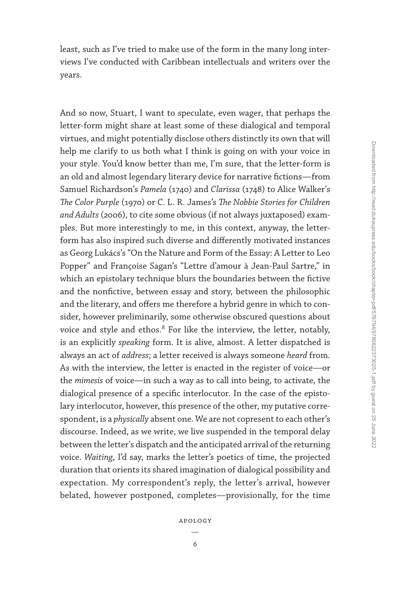least, such as I've tried to make use of the form in the many long interviews I've conducted with Caribbean intellectuals and writers over the years.

And so now, Stuart, I want to speculate, even wager, that perhaps the letter-form might share at least some of these dialogical and temporal virtues, and might potentially disclose others distinctly its own that will help me clarify to us both what I think is going on with your voice in your style. You'd know better than me, I'm sure, that the letter-form is an old and almost legendary literary device for narrative fictions—from Samuel Richardson's *Pamela* (1740) and *Clarissa* (1748) to Alice Walker's *The Color Purple* (1970) or C. L. R. James's *The Nobbie Stories for Children and Adults* (2006), to cite some obvious (if not always juxtaposed) examples. But more interestingly to me, in this context, anyway, the letterform has also inspired such diverse and differently motivated instances as Georg Lukács's "On the Nature and Form of the Essay: A Letter to Leo Popper" and Françoise Sagan's "Lettre d'amour à Jean-Paul Sartre," in which an epistolary technique blurs the boundaries between the fictive and the nonfictive, between essay and story, between the philosophic and the literary, and offers me therefore a hybrid genre in which to consider, however preliminarily, some otherwise obscured questions about voice and style and ethos.<sup>[8](#page--1-0)</sup> For like the interview, the letter, notably, is an explicitly *speaking* form. It is alive, almost. A letter dispatched is always an act of *address*; a letter received is always someone *heard* from. As with the interview, the letter is enacted in the register of voice—or the *mimesis* of voice—in such a way as to call into being, to activate, the dialogical presence of a specific interlocutor. In the case of the epistolary interlocutor, however, this presence of the other, my putative correspondent, is a *physically* absent one. We are not copresent to each other's discourse. Indeed, as we write, we live suspended in the temporal delay between the letter's dispatch and the anticipated arrival of the returning voice. *Waiting*, I'd say, marks the letter's poetics of time, the projected duration that orients its shared imagination of dialogical possibility and expectation. My correspondent's reply, the letter's arrival, however belated, however postponed, completes—provisionally, for the time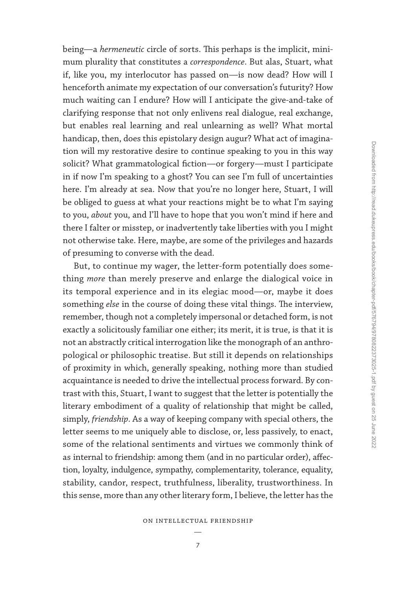being—a *hermeneutic* circle of sorts. This perhaps is the implicit, minimum plurality that constitutes a *correspondence*. But alas, Stuart, what if, like you, my interlocutor has passed on—is now dead? How will I henceforth animate my expectation of our conversation's futurity? How much waiting can I endure? How will I anticipate the give-and-take of clarifying response that not only enlivens real dialogue, real exchange, but enables real learning and real unlearning as well? What mortal handicap, then, does this epistolary design augur? What act of imagination will my restorative desire to continue speaking to you in this way solicit? What grammatological fiction—or forgery—must I participate in if now I'm speaking to a ghost? You can see I'm full of uncertainties here. I'm already at sea. Now that you're no longer here, Stuart, I will be obliged to guess at what your reactions might be to what I'm saying to you, *about* you, and I'll have to hope that you won't mind if here and there I falter or misstep, or inadvertently take liberties with you I might not otherwise take. Here, maybe, are some of the privileges and hazards of presuming to converse with the dead.

But, to continue my wager, the letter-form potentially does something *more* than merely preserve and enlarge the dialogical voice in its temporal experience and in its elegiac mood—or, maybe it does something *else* in the course of doing these vital things. The interview, remember, though not a completely impersonal or detached form, is not exactly a solicitously familiar one either; its merit, it is true, is that it is not an abstractly critical interrogation like the monograph of an anthropological or philosophic treatise. But still it depends on relationships of proximity in which, generally speaking, nothing more than studied acquaintance is needed to drive the intellectual process forward. By contrast with this, Stuart, I want to suggest that the letter is potentially the literary embodiment of a quality of relationship that might be called, simply, *friendship*. As a way of keeping company with special others, the letter seems to me uniquely able to disclose, or, less passively, to enact, some of the relational sentiments and virtues we commonly think of as internal to friendship: among them (and in no particular order), affection, loyalty, indulgence, sympathy, complementarity, tolerance, equality, stability, candor, respect, truthfulness, liberality, trustworthiness. In this sense, more than any other literary form, I believe, the letter has the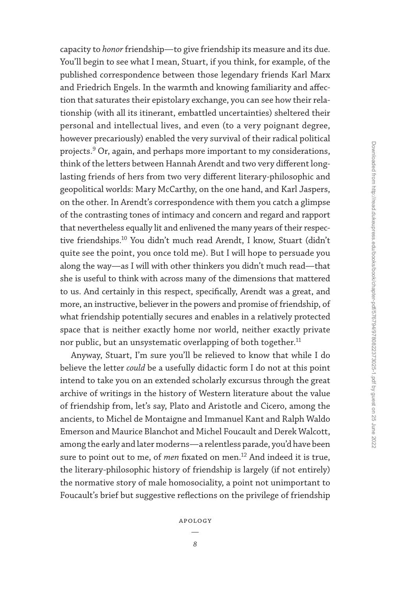capacity to *honor* friendship—to give friendship its measure and its due. You'll begin to see what I mean, Stuart, if you think, for example, of the published correspondence between those legendary friends Karl Marx and Friedrich Engels. In the warmth and knowing familiarity and affection that saturates their epistolary exchange, you can see how their relationship (with all its itinerant, embattled uncertainties) sheltered their personal and intellectual lives, and even (to a very poignant degree, however precariously) enabled the very survival of their radical political projects.<sup>[9](#page--1-0)</sup> Or, again, and perhaps more important to my considerations, think of the letters between Hannah Arendt and two very different longlasting friends of hers from two very different literary-philosophic and geopolitical worlds: Mary McCarthy, on the one hand, and Karl Jaspers, on the other. In Arendt's correspondence with them you catch a glimpse of the contrasting tones of intimacy and concern and regard and rapport that nevertheless equally lit and enlivened the many years of their respective friendships.<sup>10</sup> You didn't much read Arendt, I know, Stuart (didn't quite see the point, you once told me). But I will hope to persuade you along the way—as I will with other thinkers you didn't much read—that she is useful to think with across many of the dimensions that mattered to us. And certainly in this respect, specifically, Arendt was a great, and more, an instructive, believer in the powers and promise of friendship, of what friendship potentially secures and enables in a relatively protected space that is neither exactly home nor world, neither exactly private nor public, but an unsystematic overlapping of both together.<sup>11</sup>

Anyway, Stuart, I'm sure you'll be relieved to know that while I do believe the letter *could* be a usefully didactic form I do not at this point intend to take you on an extended scholarly excursus through the great archive of writings in the history of Western literature about the value of friendship from, let's say, Plato and Aristotle and Cicero, among the ancients, to Michel de Montaigne and Immanuel Kant and Ralph Waldo Emerson and Maurice Blanchot and Michel Foucault and Derek Walcott, among the early and later moderns—a relentless parade, you'd have been sure to point out to me, of *men* fixated on men.<sup>12</sup> And indeed it is true, the literary-philosophic history of friendship is largely (if not entirely) the normative story of male homosociality, a point not unimportant to Foucault's brief but suggestive reflections on the privilege of friendship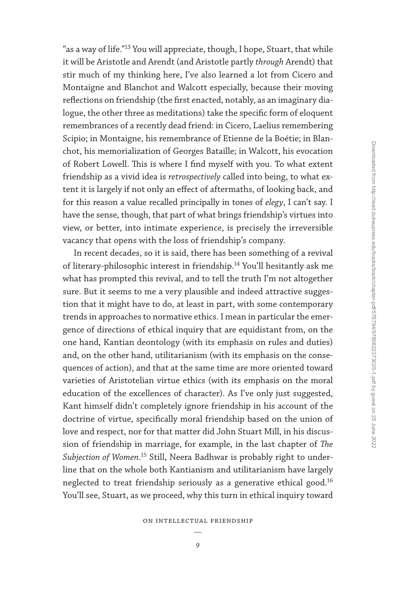"as a way of life.["13](#page--1-0) You will appreciate, though, I hope, Stuart, that while it will be Aristotle and Arendt (and Aristotle partly *through* Arendt) that stir much of my thinking here, I've also learned a lot from Cicero and Montaigne and Blanchot and Walcott especially, because their moving reflections on friendship (the first enacted, notably, as an imaginary dialogue, the other three as meditations) take the specific form of eloquent remembrances of a recently dead friend: in Cicero, Laelius remembering Scipio; in Montaigne, his remembrance of Etienne de la Boétie; in Blanchot, his memorialization of Georges Bataille; in Walcott, his evocation of Robert Lowell. This is where I find myself with you. To what extent friendship as a vivid idea is *retrospectively* called into being, to what extent it is largely if not only an effect of aftermaths, of looking back, and for this reason a value recalled principally in tones of *elegy*, I can't say. I have the sense, though, that part of what brings friendship's virtues into view, or better, into intimate experience, is precisely the irreversible vacancy that opens with the loss of friendship's company.

In recent decades, so it is said, there has been something of a revival of literary-philosophic interest in friendship.<sup>14</sup> You'll hesitantly ask me what has prompted this revival, and to tell the truth I'm not altogether sure. But it seems to me a very plausible and indeed attractive suggestion that it might have to do, at least in part, with some contemporary trends in approaches to normative ethics. I mean in particular the emergence of directions of ethical inquiry that are equidistant from, on the one hand, Kantian deontology (with its emphasis on rules and duties) and, on the other hand, utilitarianism (with its emphasis on the consequences of action), and that at the same time are more oriented toward varieties of Aristotelian virtue ethics (with its emphasis on the moral education of the excellences of character). As I've only just suggested, Kant himself didn't completely ignore friendship in his account of the doctrine of virtue, specifically moral friendship based on the union of love and respect, nor for that matter did John Stuart Mill, in his discussion of friendship in marriage, for example, in the last chapter of *The Subjection of Women*. [15](#page--1-0) Still, Neera Badhwar is probably right to underline that on the whole both Kantianism and utilitarianism have largely neglected to treat friendship seriously as a generative ethical good.<sup>[16](#page--1-0)</sup> You'll see, Stuart, as we proceed, why this turn in ethical inquiry toward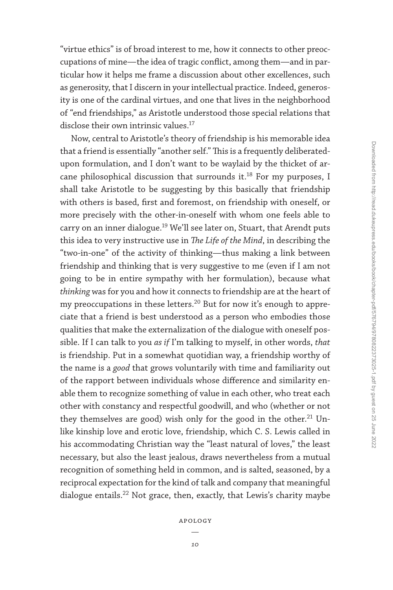"virtue ethics" is of broad interest to me, how it connects to other preoccupations of mine—the idea of tragic conflict, among them—and in particular how it helps me frame a discussion about other excellences, such as generosity, that I discern in your intellectual practice. Indeed, generosity is one of the cardinal virtues, and one that lives in the neighborhood of "end friendships," as Aristotle understood those special relations that disclose their own intrinsic values.<sup>[17](#page--1-0)</sup>

Now, central to Aristotle's theory of friendship is his memorable idea that a friend is essentially "another self." This is a frequently deliberatedupon formulation, and I don't want to be waylaid by the thicket of arcane philosophical discussion that surrounds it.<sup>18</sup> For my purposes, I shall take Aristotle to be suggesting by this basically that friendship with others is based, first and foremost, on friendship with oneself, or more precisely with the other-in-oneself with whom one feels able to carry on an inner dialogue.<sup>19</sup> We'll see later on, Stuart, that Arendt puts this idea to very instructive use in *The Life of the Mind*, in describing the "two-in-one" of the activity of thinking—thus making a link between friendship and thinking that is very suggestive to me (even if I am not going to be in entire sympathy with her formulation), because what *thinking* was for you and how it connects to friendship are at the heart of my preoccupations in these letters.<sup>20</sup> But for now it's enough to appreciate that a friend is best understood as a person who embodies those qualities that make the externalization of the dialogue with oneself possible. If I can talk to you *as if* I'm talking to myself, in other words, *that* is friendship. Put in a somewhat quotidian way, a friendship worthy of the name is a *good* that grows voluntarily with time and familiarity out of the rapport between individuals whose difference and similarity enable them to recognize something of value in each other, who treat each other with constancy and respectful goodwill, and who (whether or not they themselves are good) wish only for the good in the other.<sup>21</sup> Unlike kinship love and erotic love, friendship, which C. S. Lewis called in his accommodating Christian way the "least natural of loves," the least necessary, but also the least jealous, draws nevertheless from a mutual recognition of something held in common, and is salted, seasoned, by a reciprocal expectation for the kind of talk and company that meaningful dialogue entails.<sup>22</sup> Not grace, then, exactly, that Lewis's charity maybe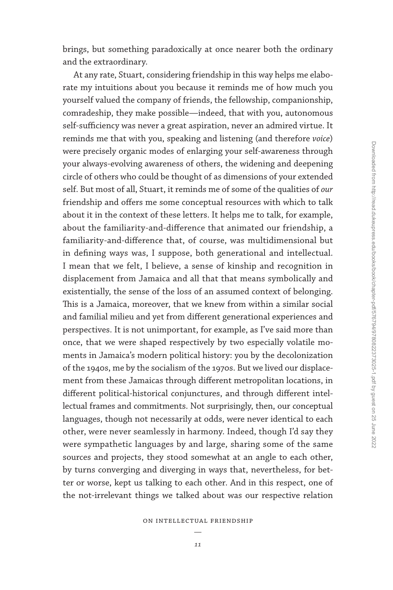brings, but something paradoxically at once nearer both the ordinary and the extraordinary.

At any rate, Stuart, considering friendship in this way helps me elaborate my intuitions about you because it reminds me of how much you yourself valued the company of friends, the fellowship, companionship, comradeship, they make possible—indeed, that with you, autonomous self-sufficiency was never a great aspiration, never an admired virtue. It reminds me that with you, speaking and listening (and therefore *voice*) were precisely organic modes of enlarging your self-awareness through your always-evolving awareness of others, the widening and deepening circle of others who could be thought of as dimensions of your extended self. But most of all, Stuart, it reminds me of some of the qualities of *our* friendship and offers me some conceptual resources with which to talk about it in the context of these letters. It helps me to talk, for example, about the familiarity-and-difference that animated our friendship, a familiarity-and-difference that, of course, was multidimensional but in defining ways was, I suppose, both generational and intellectual. I mean that we felt, I believe, a sense of kinship and recognition in displacement from Jamaica and all that that means symbolically and existentially, the sense of the loss of an assumed context of belonging. This is a Jamaica, moreover, that we knew from within a similar social and familial milieu and yet from different generational experiences and perspectives. It is not unimportant, for example, as I've said more than once, that we were shaped respectively by two especially volatile moments in Jamaica's modern political history: you by the decolonization of the 1940s, me by the socialism of the 1970s. But we lived our displacement from these Jamaicas through different metropolitan locations, in different political-historical conjunctures, and through different intellectual frames and commitments. Not surprisingly, then, our conceptual languages, though not necessarily at odds, were never identical to each other, were never seamlessly in harmony. Indeed, though I'd say they were sympathetic languages by and large, sharing some of the same sources and projects, they stood somewhat at an angle to each other, by turns converging and diverging in ways that, nevertheless, for better or worse, kept us talking to each other. And in this respect, one of the not-irrelevant things we talked about was our respective relation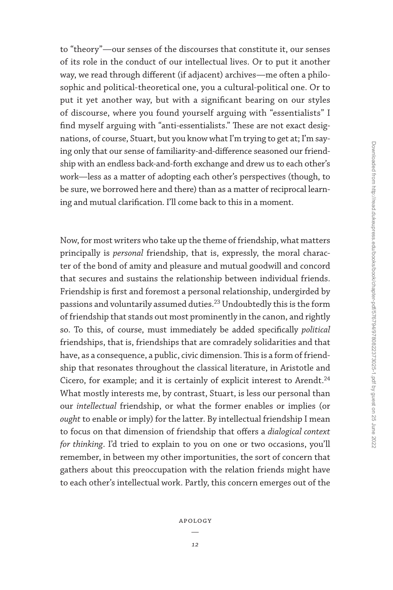to "theory"—our senses of the discourses that constitute it, our senses of its role in the conduct of our intellectual lives. Or to put it another way, we read through different (if adjacent) archives—me often a philosophic and political-theoretical one, you a cultural-political one. Or to put it yet another way, but with a significant bearing on our styles of discourse, where you found yourself arguing with "essentialists" I find myself arguing with "anti-essentialists." These are not exact designations, of course, Stuart, but you know what I'm trying to get at; I'm saying only that our sense of familiarity-and-difference seasoned our friendship with an endless back-and-forth exchange and drew us to each other's work—less as a matter of adopting each other's perspectives (though, to be sure, we borrowed here and there) than as a matter of reciprocal learning and mutual clarification. I'll come back to this in a moment.

Now, for most writers who take up the theme of friendship, what matters principally is *personal* friendship, that is, expressly, the moral character of the bond of amity and pleasure and mutual goodwill and concord that secures and sustains the relationship between individual friends. Friendship is first and foremost a personal relationship, undergirded by passions and voluntarily assumed duties.<sup>23</sup> Undoubtedly this is the form of friendship that stands out most prominently in the canon, and rightly so. To this, of course, must immediately be added specifically *political* friendships, that is, friendships that are comradely solidarities and that have, as a consequence, a public, civic dimension. This is a form of friendship that resonates throughout the classical literature, in Aristotle and Cicero, for example; and it is certainly of explicit interest to Arendt.<sup>24</sup> What mostly interests me, by contrast, Stuart, is less our personal than our *intellectual* friendship, or what the former enables or implies (or *ought* to enable or imply) for the latter. By intellectual friendship I mean to focus on that dimension of friendship that offers a *dialogical context for thinking*. I'd tried to explain to you on one or two occasions, you'll remember, in between my other importunities, the sort of concern that gathers about this preoccupation with the relation friends might have to each other's intellectual work. Partly, this concern emerges out of the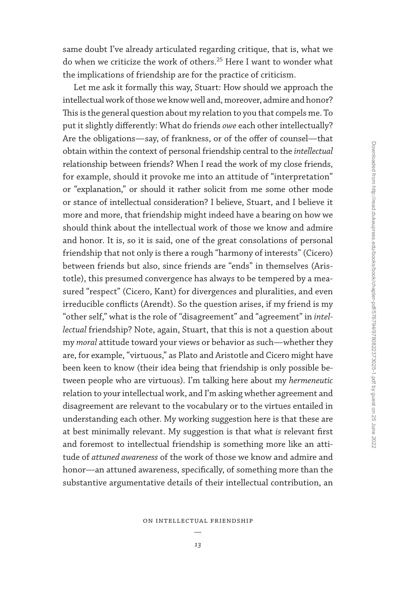same doubt I've already articulated regarding critique, that is, what we do when we criticize the work of others.<sup>25</sup> Here I want to wonder what the implications of friendship are for the practice of criticism.

Let me ask it formally this way, Stuart: How should we approach the intellectual work of those we know well and, moreover, admire and honor? This is the general question about my relation to you that compels me. To put it slightly differently: What do friends *owe* each other intellectually? Are the obligations—say, of frankness, or of the offer of counsel—that obtain within the context of personal friendship central to the *intellectual* relationship between friends? When I read the work of my close friends, for example, should it provoke me into an attitude of "interpretation" or "explanation," or should it rather solicit from me some other mode or stance of intellectual consideration? I believe, Stuart, and I believe it more and more, that friendship might indeed have a bearing on how we should think about the intellectual work of those we know and admire and honor. It is, so it is said, one of the great consolations of personal friendship that not only is there a rough "harmony of interests" (Cicero) between friends but also, since friends are "ends" in themselves (Aristotle), this presumed convergence has always to be tempered by a measured "respect" (Cicero, Kant) for divergences and pluralities, and even irreducible conflicts (Arendt). So the question arises, if my friend is my "other self," what is the role of "disagreement" and "agreement" in *intellectual* friendship? Note, again, Stuart, that this is not a question about my *moral* attitude toward your views or behavior as such—whether they are, for example, "virtuous," as Plato and Aristotle and Cicero might have been keen to know (their idea being that friendship is only possible between people who are virtuous). I'm talking here about my *hermeneutic* relation to your intellectual work, and I'm asking whether agreement and disagreement are relevant to the vocabulary or to the virtues entailed in understanding each other. My working suggestion here is that these are at best minimally relevant. My suggestion is that what *is* relevant first and foremost to intellectual friendship is something more like an attitude of *attuned awareness* of the work of those we know and admire and honor—an attuned awareness, specifically, of something more than the substantive argumentative details of their intellectual contribution, an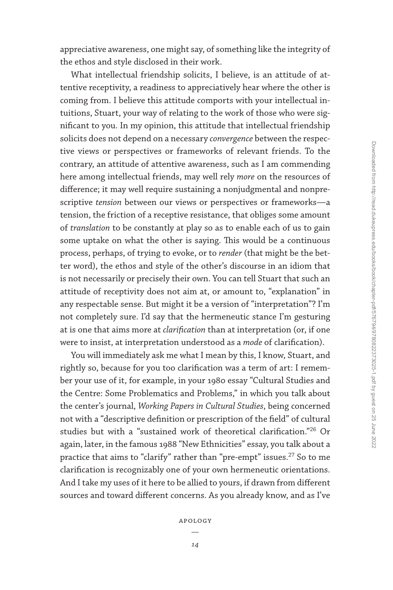appreciative awareness, one might say, of something like the integrity of the ethos and style disclosed in their work.

What intellectual friendship solicits, I believe, is an attitude of attentive receptivity, a readiness to appreciatively hear where the other is coming from. I believe this attitude comports with your intellectual intuitions, Stuart, your way of relating to the work of those who were significant to you. In my opinion, this attitude that intellectual friendship solicits does not depend on a necessary *convergence* between the respective views or perspectives or frameworks of relevant friends. To the contrary, an attitude of attentive awareness, such as I am commending here among intellectual friends, may well rely *more* on the resources of difference; it may well require sustaining a nonjudgmental and nonprescriptive *tension* between our views or perspectives or frameworks—a tension, the friction of a receptive resistance, that obliges some amount of *translation* to be constantly at play so as to enable each of us to gain some uptake on what the other is saying. This would be a continuous process, perhaps, of trying to evoke, or to *render* (that might be the better word), the ethos and style of the other's discourse in an idiom that is not necessarily or precisely their own. You can tell Stuart that such an attitude of receptivity does not aim at, or amount to, "explanation" in any respectable sense. But might it be a version of "interpretation"? I'm not completely sure. I'd say that the hermeneutic stance I'm gesturing at is one that aims more at *clarification* than at interpretation (or, if one were to insist, at interpretation understood as a *mode* of clarification).

You will immediately ask me what I mean by this, I know, Stuart, and rightly so, because for you too clarification was a term of art: I remember your use of it, for example, in your 1980 essay "Cultural Studies and the Centre: Some Problematics and Problems," in which you talk about the center's journal, *Working Papers in Cultural Studies*, being concerned not with a "descriptive definition or prescription of the field" of cultural studies but with a "sustained work of theoretical clarification."[26](#page--1-0) Or again, later, in the famous 1988 "New Ethnicities" essay, you talk about a practice that aims to "clarify" rather than "pre-empt" issues.<sup>27</sup> So to me clarification is recognizably one of your own hermeneutic orientations. And I take my uses of it here to be allied to yours, if drawn from different sources and toward different concerns. As you already know, and as I've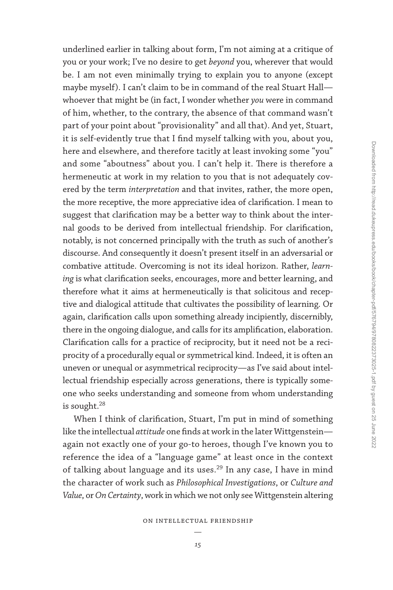underlined earlier in talking about form, I'm not aiming at a critique of you or your work; I've no desire to get *beyond* you, wherever that would be. I am not even minimally trying to explain you to anyone (except maybe myself). I can't claim to be in command of the real Stuart Hall whoever that might be (in fact, I wonder whether *you* were in command of him, whether, to the contrary, the absence of that command wasn't part of your point about "provisionality" and all that). And yet, Stuart, it is self-evidently true that I find myself talking with you, about you, here and elsewhere, and therefore tacitly at least invoking some "you" and some "aboutness" about you. I can't help it. There is therefore a hermeneutic at work in my relation to you that is not adequately covered by the term *interpretation* and that invites, rather, the more open, the more receptive, the more appreciative idea of clarification. I mean to suggest that clarification may be a better way to think about the internal goods to be derived from intellectual friendship. For clarification, notably, is not concerned principally with the truth as such of another's discourse. And consequently it doesn't present itself in an adversarial or combative attitude. Overcoming is not its ideal horizon. Rather, *learning* is what clarification seeks, encourages, more and better learning, and therefore what it aims at hermeneutically is that solicitous and receptive and dialogical attitude that cultivates the possibility of learning. Or again, clarification calls upon something already incipiently, discernibly, there in the ongoing dialogue, and calls for its amplification, elaboration. Clarification calls for a practice of reciprocity, but it need not be a reciprocity of a procedurally equal or symmetrical kind. Indeed, it is often an uneven or unequal or asymmetrical reciprocity—as I've said about intellectual friendship especially across generations, there is typically someone who seeks understanding and someone from whom understanding is sought.[28](#page--1-0)

When I think of clarification, Stuart, I'm put in mind of something like the intellectual *attitude* one finds at work in the later Wittgenstein again not exactly one of your go-to heroes, though I've known you to reference the idea of a "language game" at least once in the context of talking about language and its uses.<sup>[29](#page--1-0)</sup> In any case, I have in mind the character of work such as *Philosophical Investigations*, or *Culture and Value*, or *On Certainty*, work in which we not only see Wittgenstein altering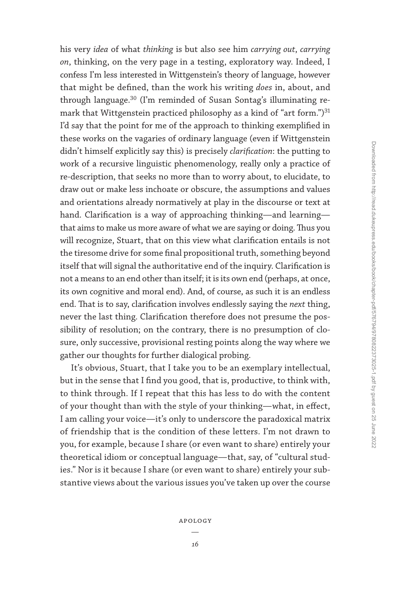his very *idea* of what *thinking* is but also see him *carrying out*, *carrying on*, thinking, on the very page in a testing, exploratory way. Indeed, I confess I'm less interested in Wittgenstein's theory of language, however that might be defined, than the work his writing *does* in, about, and through language.<sup>30</sup> (I'm reminded of Susan Sontag's illuminating re-mark that Wittgenstein practiced philosophy as a kind of "art form.")<sup>[31](#page--1-0)</sup> I'd say that the point for me of the approach to thinking exemplified in these works on the vagaries of ordinary language (even if Wittgenstein didn't himself explicitly say this) is precisely *clarification*: the putting to work of a recursive linguistic phenomenology, really only a practice of re-description, that seeks no more than to worry about, to elucidate, to draw out or make less inchoate or obscure, the assumptions and values and orientations already normatively at play in the discourse or text at hand. Clarification is a way of approaching thinking—and learning that aims to make us more aware of what we are saying or doing. Thus you will recognize, Stuart, that on this view what clarification entails is not the tiresome drive for some final propositional truth, something beyond itself that will signal the authoritative end of the inquiry. Clarification is not a means to an end other than itself; it is its own end (perhaps, at once, its own cognitive and moral end). And, of course, as such it is an endless end. That is to say, clarification involves endlessly saying the *next* thing, never the last thing. Clarification therefore does not presume the possibility of resolution; on the contrary, there is no presumption of closure, only successive, provisional resting points along the way where we gather our thoughts for further dialogical probing.

It's obvious, Stuart, that I take you to be an exemplary intellectual, but in the sense that I find you good, that is, productive, to think with, to think through. If I repeat that this has less to do with the content of your thought than with the style of your thinking—what, in effect, I am calling your voice—it's only to underscore the paradoxical matrix of friendship that is the condition of these letters. I'm not drawn to you, for example, because I share (or even want to share) entirely your theoretical idiom or conceptual language—that, say, of "cultural studies." Nor is it because I share (or even want to share) entirely your substantive views about the various issues you've taken up over the course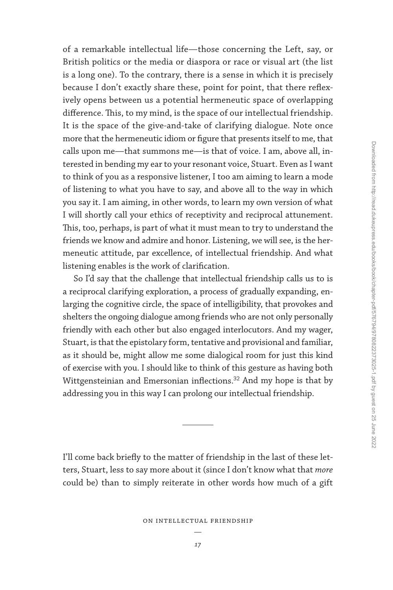of a remarkable intellectual life—those concerning the Left, say, or British politics or the media or diaspora or race or visual art (the list is a long one). To the contrary, there is a sense in which it is precisely because I don't exactly share these, point for point, that there reflexively opens between us a potential hermeneutic space of overlapping difference. This, to my mind, is the space of our intellectual friendship. It is the space of the give-and-take of clarifying dialogue. Note once more that the hermeneutic idiom or figure that presents itself to me, that calls upon me—that summons me—is that of voice. I am, above all, interested in bending my ear to your resonant voice, Stuart. Even as I want to think of you as a responsive listener, I too am aiming to learn a mode of listening to what you have to say, and above all to the way in which you say it. I am aiming, in other words, to learn my own version of what I will shortly call your ethics of receptivity and reciprocal attunement. This, too, perhaps, is part of what it must mean to try to understand the friends we know and admire and honor. Listening, we will see, is the hermeneutic attitude, par excellence, of intellectual friendship. And what listening enables is the work of clarification.

So I'd say that the challenge that intellectual friendship calls us to is a reciprocal clarifying exploration, a process of gradually expanding, enlarging the cognitive circle, the space of intelligibility, that provokes and shelters the ongoing dialogue among friends who are not only personally friendly with each other but also engaged interlocutors. And my wager, Stuart, is that the epistolary form, tentative and provisional and familiar, as it should be, might allow me some dialogical room for just this kind of exercise with you. I should like to think of this gesture as having both Wittgensteinian and Emersonian inflections.<sup>32</sup> And my hope is that by addressing you in this way I can prolong our intellectual friendship.

I'll come back briefly to the matter of friendship in the last of these letters, Stuart, less to say more about it (since I don't know what that *more* could be) than to simply reiterate in other words how much of a gift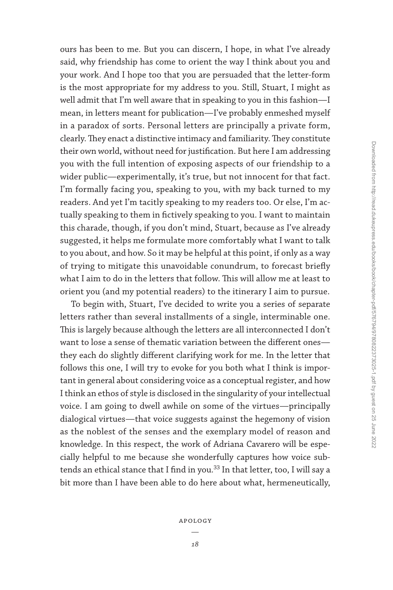ours has been to me. But you can discern, I hope, in what I've already said, why friendship has come to orient the way I think about you and your work. And I hope too that you are persuaded that the letter-form is the most appropriate for my address to you. Still, Stuart, I might as well admit that I'm well aware that in speaking to you in this fashion—I mean, in letters meant for publication—I've probably enmeshed myself in a paradox of sorts. Personal letters are principally a private form, clearly. They enact a distinctive intimacy and familiarity. They constitute their own world, without need for justification. But here I am addressing you with the full intention of exposing aspects of our friendship to a wider public—experimentally, it's true, but not innocent for that fact. I'm formally facing you, speaking to you, with my back turned to my readers. And yet I'm tacitly speaking to my readers too. Or else, I'm actually speaking to them in fictively speaking to you. I want to maintain this charade, though, if you don't mind, Stuart, because as I've already suggested, it helps me formulate more comfortably what I want to talk to you about, and how. So it may be helpful at this point, if only as a way of trying to mitigate this unavoidable conundrum, to forecast briefly what I aim to do in the letters that follow. This will allow me at least to orient you (and my potential readers) to the itinerary I aim to pursue.

To begin with, Stuart, I've decided to write you a series of separate letters rather than several installments of a single, interminable one. This is largely because although the letters are all interconnected I don't want to lose a sense of thematic variation between the different ones they each do slightly different clarifying work for me. In the letter that follows this one, I will try to evoke for you both what I think is important in general about considering voice as a conceptual register, and how I think an ethos of style is disclosed in the singularity of your intellectual voice. I am going to dwell awhile on some of the virtues—principally dialogical virtues—that voice suggests against the hegemony of vision as the noblest of the senses and the exemplary model of reason and knowledge. In this respect, the work of Adriana Cavarero will be especially helpful to me because she wonderfully captures how voice subtends an ethical stance that I find in you. $33$  In that letter, too, I will say a bit more than I have been able to do here about what, hermeneutically,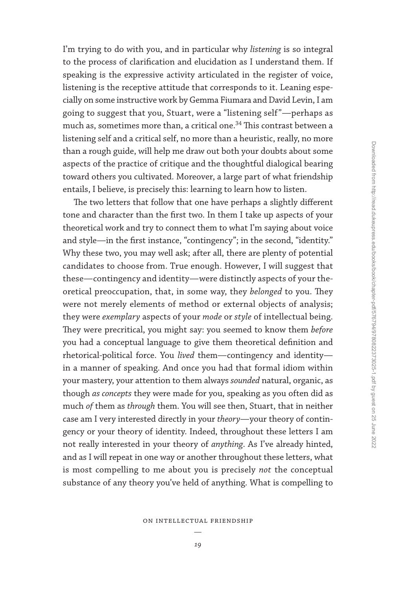I'm trying to do with you, and in particular why *listening* is so integral to the process of clarification and elucidation as I understand them. If speaking is the expressive activity articulated in the register of voice, listening is the receptive attitude that corresponds to it. Leaning especially on some instructive work by Gemma Fiumara and David Levin, I am going to suggest that you, Stuart, were a "listening self"—perhaps as much as, sometimes more than, a critical one.<sup>34</sup> This contrast between a listening self and a critical self, no more than a heuristic, really, no more than a rough guide, will help me draw out both your doubts about some aspects of the practice of critique and the thoughtful dialogical bearing toward others you cultivated. Moreover, a large part of what friendship entails, I believe, is precisely this: learning to learn how to listen.

The two letters that follow that one have perhaps a slightly different tone and character than the first two. In them I take up aspects of your theoretical work and try to connect them to what I'm saying about voice and style—in the first instance, "contingency"; in the second, "identity." Why these two, you may well ask; after all, there are plenty of potential candidates to choose from. True enough. However, I will suggest that these—contingency and identity—were distinctly aspects of your theoretical preoccupation, that, in some way, they *belonged* to you. They were not merely elements of method or external objects of analysis; they were *exemplary* aspects of your *mode* or *style* of intellectual being. They were precritical, you might say: you seemed to know them *before* you had a conceptual language to give them theoretical definition and rhetorical-political force. You *lived* them—contingency and identity in a manner of speaking. And once you had that formal idiom within your mastery, your attention to them always *sounded* natural, organic, as though *as concepts* they were made for you, speaking as you often did as much *of* them as *through* them. You will see then, Stuart, that in neither case am I very interested directly in your *theory*—your theory of contingency or your theory of identity. Indeed, throughout these letters I am not really interested in your theory of *anything*. As I've already hinted, and as I will repeat in one way or another throughout these letters, what is most compelling to me about you is precisely *not* the conceptual substance of any theory you've held of anything. What is compelling to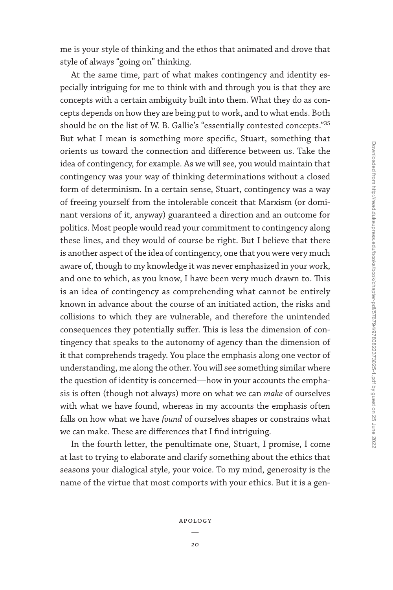me is your style of thinking and the ethos that animated and drove that style of always "going on" thinking.

At the same time, part of what makes contingency and identity especially intriguing for me to think with and through you is that they are concepts with a certain ambiguity built into them. What they do as concepts depends on how they are being put to work, and to what ends. Both should be on the list of W. B. Gallie's "essentially contested concepts.["35](#page--1-0) But what I mean is something more specific, Stuart, something that orients us toward the connection and difference between us. Take the idea of contingency, for example. As we will see, you would maintain that contingency was your way of thinking determinations without a closed form of determinism. In a certain sense, Stuart, contingency was a way of freeing yourself from the intolerable conceit that Marxism (or dominant versions of it, anyway) guaranteed a direction and an outcome for politics. Most people would read your commitment to contingency along these lines, and they would of course be right. But I believe that there is another aspect of the idea of contingency, one that you were very much aware of, though to my knowledge it was never emphasized in your work, and one to which, as you know, I have been very much drawn to. This is an idea of contingency as comprehending what cannot be entirely known in advance about the course of an initiated action, the risks and collisions to which they are vulnerable, and therefore the unintended consequences they potentially suffer. This is less the dimension of contingency that speaks to the autonomy of agency than the dimension of it that comprehends tragedy. You place the emphasis along one vector of understanding, me along the other. You will see something similar where the question of identity is concerned—how in your accounts the emphasis is often (though not always) more on what we can *make* of ourselves with what we have found, whereas in my accounts the emphasis often falls on how what we have *found* of ourselves shapes or constrains what we can make. These are differences that I find intriguing.

In the fourth letter, the penultimate one, Stuart, I promise, I come at last to trying to elaborate and clarify something about the ethics that seasons your dialogical style, your voice. To my mind, generosity is the name of the virtue that most comports with your ethics. But it is a gen-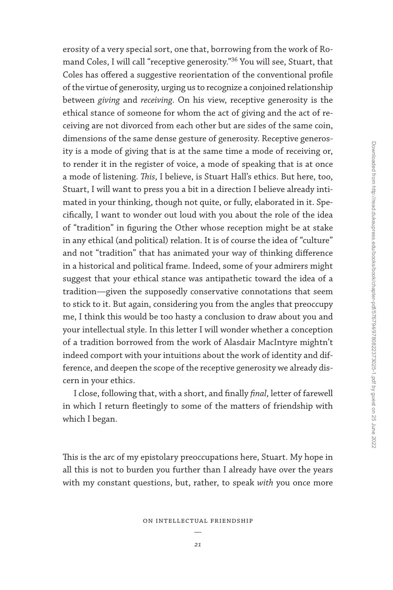erosity of a very special sort, one that, borrowing from the work of Romand Coles, I will call "receptive generosity.["36](#page--1-0) You will see, Stuart, that Coles has offered a suggestive reorientation of the conventional profile of the virtue of generosity, urging us to recognize a conjoined relationship between *giving* and *receiving*. On his view, receptive generosity is the ethical stance of someone for whom the act of giving and the act of receiving are not divorced from each other but are sides of the same coin, dimensions of the same dense gesture of generosity. Receptive generosity is a mode of giving that is at the same time a mode of receiving or, to render it in the register of voice, a mode of speaking that is at once a mode of listening. *This*, I believe, is Stuart Hall's ethics. But here, too, Stuart, I will want to press you a bit in a direction I believe already intimated in your thinking, though not quite, or fully, elaborated in it. Specifically, I want to wonder out loud with you about the role of the idea of "tradition" in figuring the Other whose reception might be at stake in any ethical (and political) relation. It is of course the idea of "culture" and not "tradition" that has animated your way of thinking difference in a historical and political frame. Indeed, some of your admirers might suggest that your ethical stance was antipathetic toward the idea of a tradition—given the supposedly conservative connotations that seem to stick to it. But again, considering you from the angles that preoccupy me, I think this would be too hasty a conclusion to draw about you and your intellectual style. In this letter I will wonder whether a conception of a tradition borrowed from the work of Alasdair MacIntyre mightn't indeed comport with your intuitions about the work of identity and difference, and deepen the scope of the receptive generosity we already discern in your ethics.

I close, following that, with a short, and finally *final*, letter of farewell in which I return fleetingly to some of the matters of friendship with which I began.

This is the arc of my epistolary preoccupations here, Stuart. My hope in all this is not to burden you further than I already have over the years with my constant questions, but, rather, to speak *with* you once more